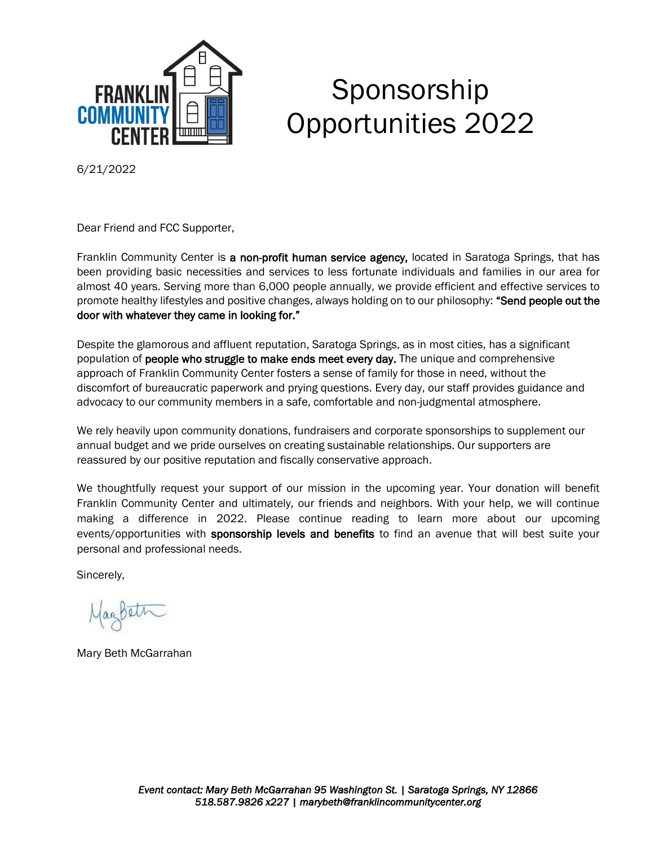

# Sponsorship Opportunities 2022

6/21/2022

Dear Friend and FCC Supporter,

Franklin Community Center is a non-profit human service agency, located in Saratoga Springs, that has been providing basic necessities and services to less fortunate individuals and families in our area for almost 40 years. Serving more than 6,000 people annually, we provide efficient and effective services to promote healthy lifestyles and positive changes, always holding on to our philosophy: "Send people out the door with whatever they came in looking for."

Despite the glamorous and affluent reputation, Saratoga Springs, as in most cities, has a significant population of **people who struggle to make ends meet every day.** The unique and comprehensive approach of Franklin Community Center fosters a sense of family for those in need, without the discomfort of bureaucratic paperwork and prying questions. Every day, our staff provides guidance and advocacy to our community members in a safe, comfortable and non-judgmental atmosphere.

We rely heavily upon community donations, fundraisers and corporate sponsorships to supplement our annual budget and we pride ourselves on creating sustainable relationships. Our supporters are reassured by our positive reputation and fiscally conservative approach.

We thoughtfully request your support of our mission in the upcoming year. Your donation will benefit Franklin Community Center and ultimately, our friends and neighbors. With your help, we will continue making a difference in 2022. Please continue reading to learn more about our upcoming events/opportunities with sponsorship levels and benefits to find an avenue that will best suite your personal and professional needs.

Sincerely,

Janbeth

Mary Beth McGarrahan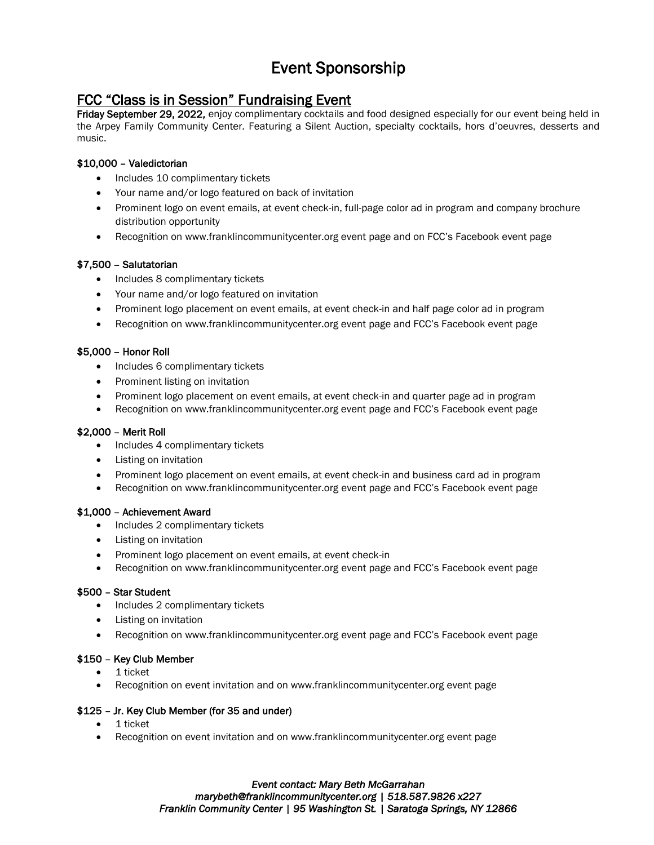# Event Sponsorship

### FCC "Class is in Session" Fundraising Event

Friday September 29, 2022, enjoy complimentary cocktails and food designed especially for our event being held in the Arpey Family Community Center. Featuring a Silent Auction, specialty cocktails, hors d'oeuvres, desserts and music.

#### \$10,000 – Valedictorian

- Includes 10 complimentary tickets
- Your name and/or logo featured on back of invitation
- Prominent logo on event emails, at event check-in, full-page color ad in program and company brochure distribution opportunity
- Recognition on www.franklincommunitycenter.org event page and on FCC's Facebook event page

#### \$7,500 – Salutatorian

- Includes 8 complimentary tickets
- Your name and/or logo featured on invitation
- Prominent logo placement on event emails, at event check-in and half page color ad in program
- Recognition on www.franklincommunitycenter.org event page and FCC's Facebook event page

#### \$5,000 – Honor Roll

- Includes 6 complimentary tickets
- Prominent listing on invitation
- Prominent logo placement on event emails, at event check-in and quarter page ad in program
- Recognition on www.franklincommunitycenter.org event page and FCC's Facebook event page

#### \$2,000 – Merit Roll

- Includes 4 complimentary tickets
- Listing on invitation
- Prominent logo placement on event emails, at event check-in and business card ad in program
- Recognition on [www.franklincommunitycenter.org](http://www.franklincommunitycenter.org/) event page and FCC's Facebook event page

#### \$1,000 – Achievement Award

- Includes 2 complimentary tickets
- Listing on invitation
- Prominent logo placement on event emails, at event check-in
- Recognition on [www.franklincommunitycenter.org](http://www.franklincommunitycenter.org/) event page and FCC's Facebook event page

#### \$500 – Star Student

- Includes 2 complimentary tickets
- Listing on invitation
- Recognition on [www.franklincommunitycenter.org](http://www.franklincommunitycenter.org/) event page and FCC's Facebook event page

#### \$150 – Key Club Member

- 1 ticket
- Recognition on event invitation and on [www.franklincommunitycenter.org](http://www.franklincommunitycenter.org/) event page

#### \$125 – Jr. Key Club Member (for 35 and under)

- 1 ticket
- Recognition on event invitation and on [www.franklincommunitycenter.org](http://www.franklincommunitycenter.org/) event page